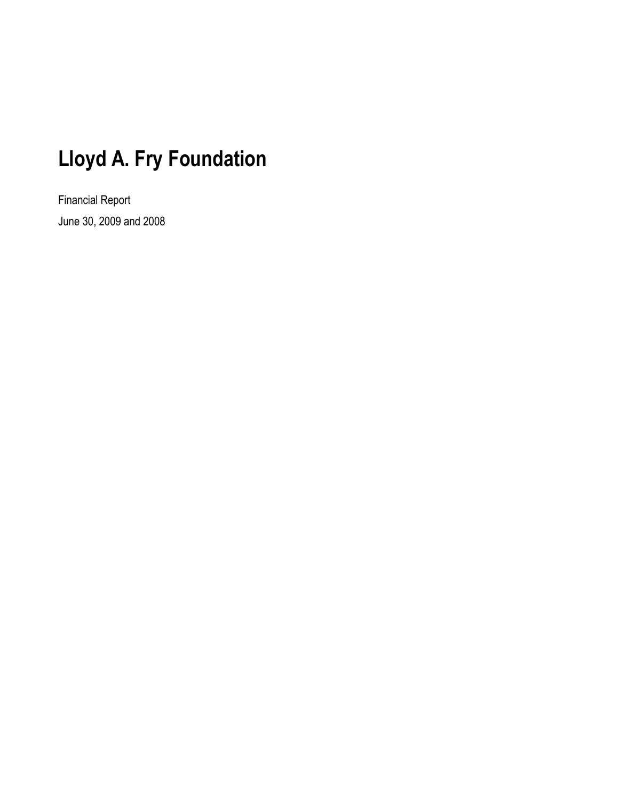Financial Report June 30, 2009 and 2008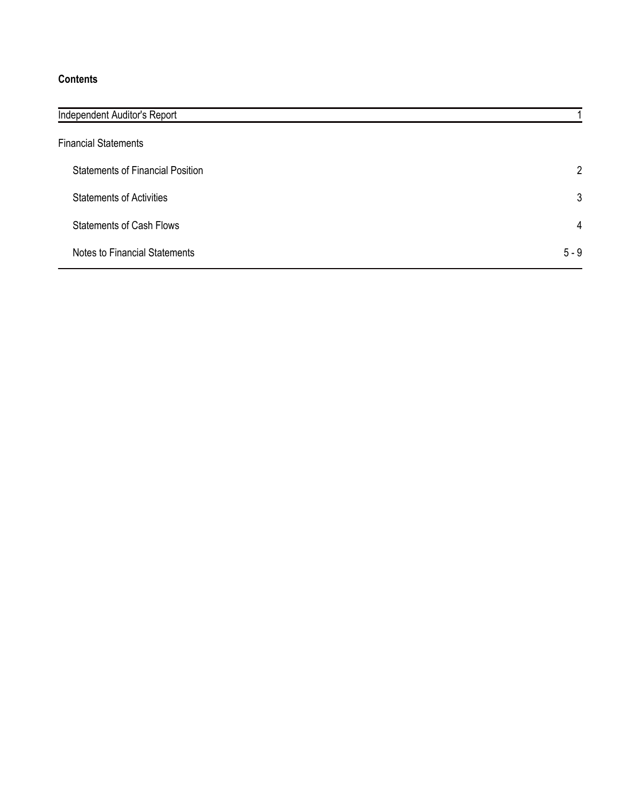# **Contents**

| Independent Auditor's Report            |                |
|-----------------------------------------|----------------|
| <b>Financial Statements</b>             |                |
| <b>Statements of Financial Position</b> | $\overline{2}$ |
| <b>Statements of Activities</b>         | 3              |
| <b>Statements of Cash Flows</b>         | $\overline{4}$ |
| Notes to Financial Statements           | $5 - 9$        |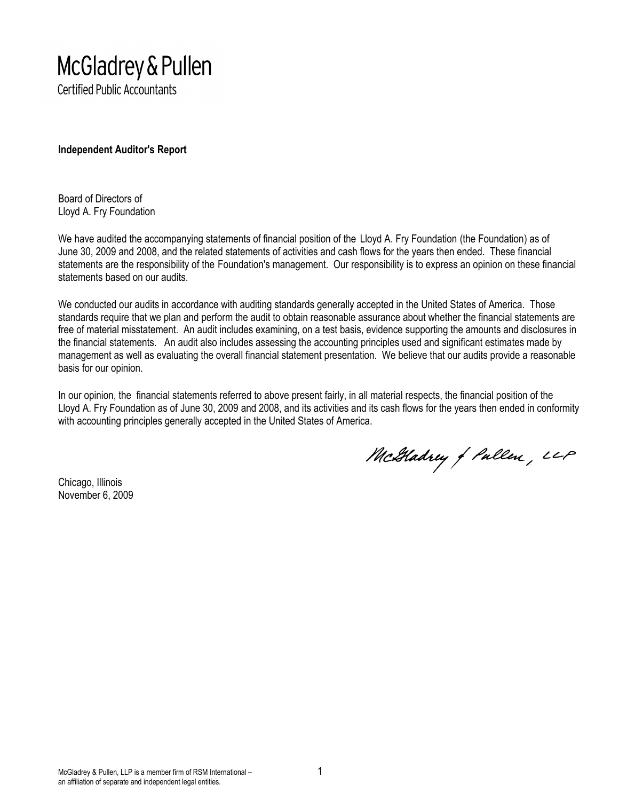# McGladrey & Pullen

**Certified Public Accountants** 

Independent Auditor's Report

Board of Directors of Lloyd A. Fry Foundation

We have audited the accompanying statements of financial position of the Lloyd A. Fry Foundation (the Foundation) as of June 30, 2009 and 2008, and the related statements of activities and cash flows for the years then ended. These financial statements are the responsibility of the Foundation's management. Our responsibility is to express an opinion on these financial statements based on our audits.

We conducted our audits in accordance with auditing standards generally accepted in the United States of America. Those standards require that we plan and perform the audit to obtain reasonable assurance about whether the financial statements are free of material misstatement. An audit includes examining, on a test basis, evidence supporting the amounts and disclosures in the financial statements. An audit also includes assessing the accounting principles used and significant estimates made by management as well as evaluating the overall financial statement presentation. We believe that our audits provide a reasonable basis for our opinion.

In our opinion, the financial statements referred to above present fairly, in all material respects, the financial position of the Lloyd A. Fry Foundation as of June 30, 2009 and 2008, and its activities and its cash flows for the years then ended in conformity with accounting principles generally accepted in the United States of America.

McGladrey of Pallen, LLP

Chicago, Illinois November 6, 2009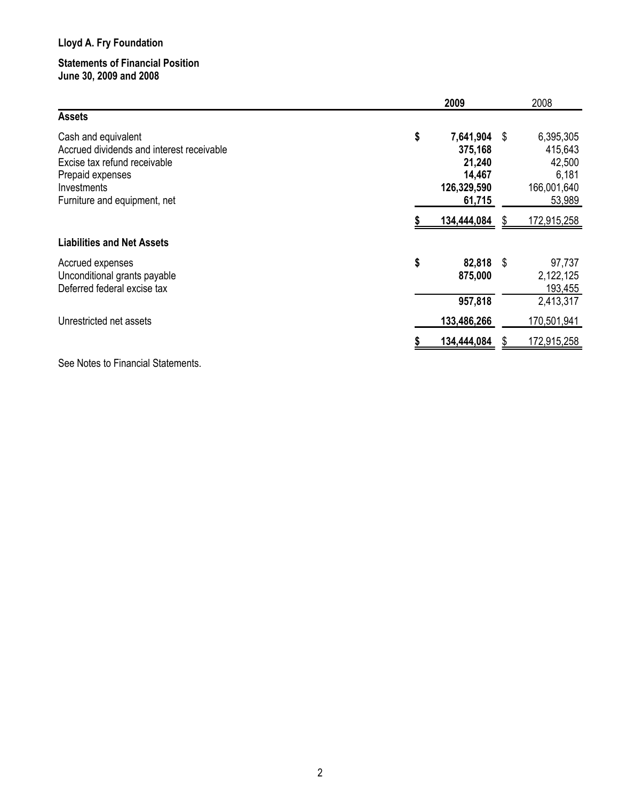# Statements of Financial Position June 30, 2009 and 2008

|                                                                                                                                                                     | 2009                                                                    |      | 2008                                                             |
|---------------------------------------------------------------------------------------------------------------------------------------------------------------------|-------------------------------------------------------------------------|------|------------------------------------------------------------------|
| <b>Assets</b>                                                                                                                                                       |                                                                         |      |                                                                  |
| Cash and equivalent<br>Accrued dividends and interest receivable<br>Excise tax refund receivable<br>Prepaid expenses<br>Investments<br>Furniture and equipment, net | \$<br>7,641,904<br>375,168<br>21,240<br>14,467<br>126,329,590<br>61,715 | -S   | 6,395,305<br>415,643<br>42,500<br>6,181<br>166,001,640<br>53,989 |
|                                                                                                                                                                     | 134,444,084                                                             | SБ   | 172,915,258                                                      |
| <b>Liabilities and Net Assets</b>                                                                                                                                   |                                                                         |      |                                                                  |
| Accrued expenses<br>Unconditional grants payable<br>Deferred federal excise tax                                                                                     | \$<br>82,818<br>875,000<br>957,818                                      | - \$ | 97,737<br>2,122,125<br>193,455<br>2,413,317                      |
| Unrestricted net assets                                                                                                                                             | 133,486,266                                                             |      | 170,501,941                                                      |
|                                                                                                                                                                     | 134,444,084                                                             |      | 172,915,258                                                      |

See Notes to Financial Statements.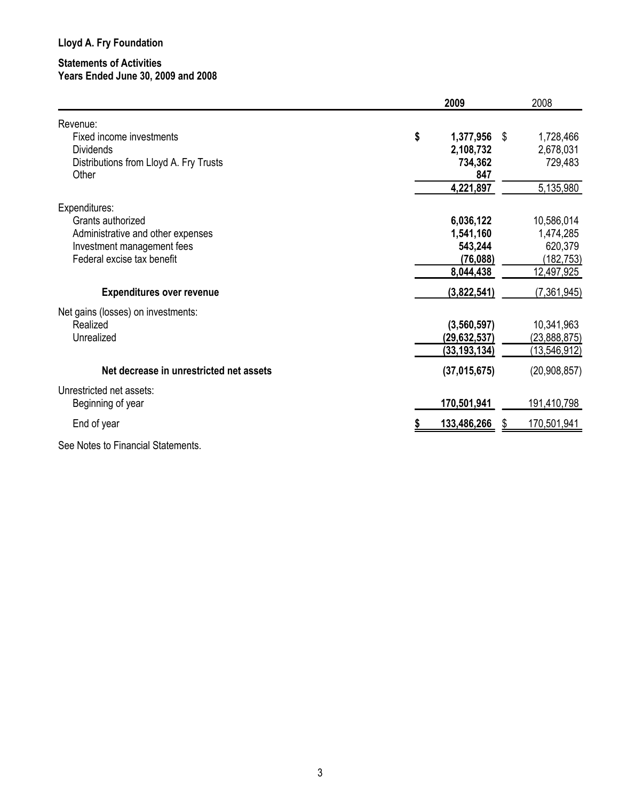### Statements of Activities Years Ended June 30, 2009 and 2008

|                                         | 2009            | 2008            |
|-----------------------------------------|-----------------|-----------------|
| Revenue:                                |                 |                 |
| Fixed income investments                | \$<br>1,377,956 | \$<br>1,728,466 |
| <b>Dividends</b>                        | 2,108,732       | 2,678,031       |
| Distributions from Lloyd A. Fry Trusts  | 734,362         | 729,483         |
| Other                                   | 847             |                 |
|                                         | 4,221,897       | 5,135,980       |
| Expenditures:                           |                 |                 |
| Grants authorized                       | 6,036,122       | 10,586,014      |
| Administrative and other expenses       | 1,541,160       | 1,474,285       |
| Investment management fees              | 543,244         | 620,379         |
| Federal excise tax benefit              | (76,088)        | (182, 753)      |
|                                         | 8,044,438       | 12,497,925      |
| <b>Expenditures over revenue</b>        | (3,822,541)     | (7,361,945)     |
| Net gains (losses) on investments:      |                 |                 |
| Realized                                | (3,560,597)     | 10,341,963      |
| Unrealized                              | (29, 632, 537)  | (23,888,875)    |
|                                         | (33, 193, 134)  | (13, 546, 912)  |
| Net decrease in unrestricted net assets | (37,015,675)    | (20, 908, 857)  |
| Unrestricted net assets:                |                 |                 |
| Beginning of year                       | 170,501,941     | 191,410,798     |
| End of year                             | 133,486,266     | 170,501,941     |
|                                         |                 |                 |

See Notes to Financial Statements.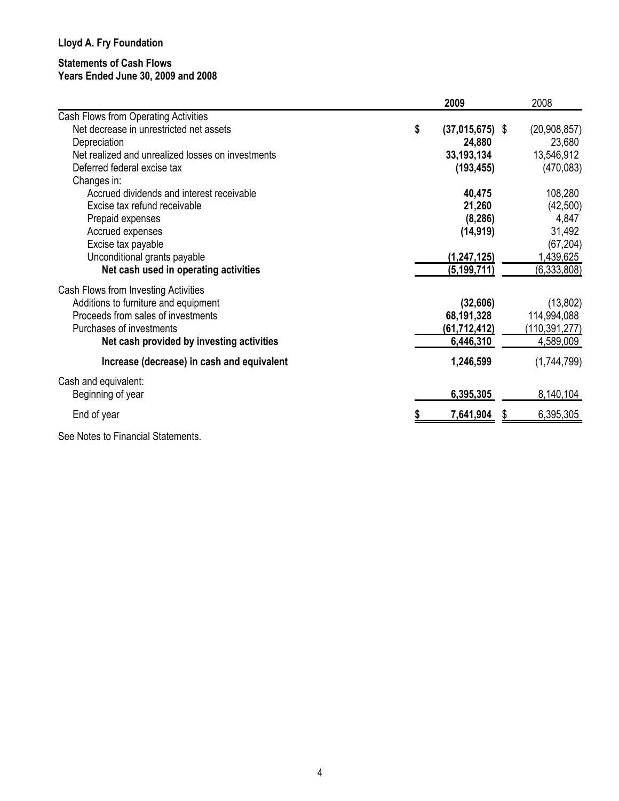# Statements of Cash Flows

# Years Ended June 30, 2009 and 2008

|                                                   | 2009                    | 2008            |
|---------------------------------------------------|-------------------------|-----------------|
| Cash Flows from Operating Activities              |                         |                 |
| Net decrease in unrestricted net assets           | \$<br>$(37,015,675)$ \$ | (20, 908, 857)  |
| Depreciation                                      | 24,880                  | 23,680          |
| Net realized and unrealized losses on investments | 33, 193, 134            | 13,546,912      |
| Deferred federal excise tax                       | (193, 455)              | (470, 083)      |
| Changes in:                                       |                         |                 |
| Accrued dividends and interest receivable         | 40,475                  | 108,280         |
| Excise tax refund receivable                      | 21,260                  | (42,500)        |
| Prepaid expenses                                  | (8, 286)                | 4,847           |
| Accrued expenses                                  | (14, 919)               | 31,492          |
| Excise tax payable                                |                         | (67, 204)       |
| Unconditional grants payable                      | (1, 247, 125)           | 1,439,625       |
| Net cash used in operating activities             | (5, 199, 711)           | (6,333,808)     |
| Cash Flows from Investing Activities              |                         |                 |
| Additions to furniture and equipment              | (32,606)                | (13,802)        |
| Proceeds from sales of investments                | 68,191,328              | 114,994,088     |
| Purchases of investments                          | (61, 712, 412)          | (110, 391, 277) |
| Net cash provided by investing activities         | 6,446,310               | 4,589,009       |
| Increase (decrease) in cash and equivalent        | 1,246,599               | (1,744,799)     |
| Cash and equivalent:                              |                         |                 |
| Beginning of year                                 | 6,395,305               | 8,140,104       |
| End of year                                       | 7,641,904               | 6,395,305       |
|                                                   |                         |                 |

See Notes to Financial Statements.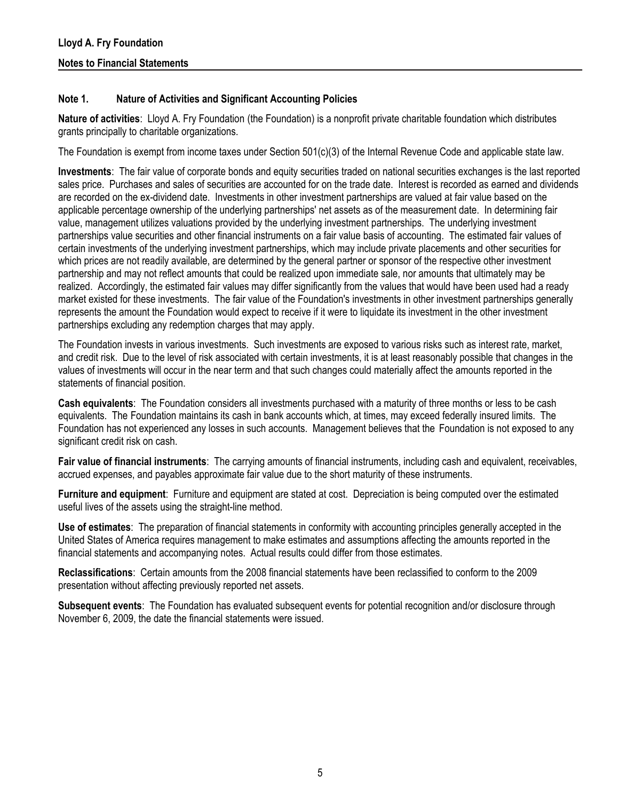## Note 1. Nature of Activities and Significant Accounting Policies

Nature of activities: Lloyd A. Fry Foundation (the Foundation) is a nonprofit private charitable foundation which distributes grants principally to charitable organizations.

The Foundation is exempt from income taxes under Section 501(c)(3) of the Internal Revenue Code and applicable state law.

Investments: The fair value of corporate bonds and equity securities traded on national securities exchanges is the last reported sales price. Purchases and sales of securities are accounted for on the trade date. Interest is recorded as earned and dividends are recorded on the ex-dividend date. Investments in other investment partnerships are valued at fair value based on the applicable percentage ownership of the underlying partnerships' net assets as of the measurement date. In determining fair value, management utilizes valuations provided by the underlying investment partnerships. The underlying investment partnerships value securities and other financial instruments on a fair value basis of accounting. The estimated fair values of certain investments of the underlying investment partnerships, which may include private placements and other securities for which prices are not readily available, are determined by the general partner or sponsor of the respective other investment partnership and may not reflect amounts that could be realized upon immediate sale, nor amounts that ultimately may be realized. Accordingly, the estimated fair values may differ significantly from the values that would have been used had a ready market existed for these investments. The fair value of the Foundation's investments in other investment partnerships generally represents the amount the Foundation would expect to receive if it were to liquidate its investment in the other investment partnerships excluding any redemption charges that may apply.

The Foundation invests in various investments. Such investments are exposed to various risks such as interest rate, market, and credit risk. Due to the level of risk associated with certain investments, it is at least reasonably possible that changes in the values of investments will occur in the near term and that such changes could materially affect the amounts reported in the statements of financial position.

Cash equivalents: The Foundation considers all investments purchased with a maturity of three months or less to be cash equivalents. The Foundation maintains its cash in bank accounts which, at times, may exceed federally insured limits. The Foundation has not experienced any losses in such accounts. Management believes that the Foundation is not exposed to any significant credit risk on cash.

Fair value of financial instruments: The carrying amounts of financial instruments, including cash and equivalent, receivables, accrued expenses, and payables approximate fair value due to the short maturity of these instruments.

Furniture and equipment: Furniture and equipment are stated at cost. Depreciation is being computed over the estimated useful lives of the assets using the straight-line method.

Use of estimates: The preparation of financial statements in conformity with accounting principles generally accepted in the United States of America requires management to make estimates and assumptions affecting the amounts reported in the financial statements and accompanying notes. Actual results could differ from those estimates.

Reclassifications: Certain amounts from the 2008 financial statements have been reclassified to conform to the 2009 presentation without affecting previously reported net assets.

Subsequent events: The Foundation has evaluated subsequent events for potential recognition and/or disclosure through November 6, 2009, the date the financial statements were issued.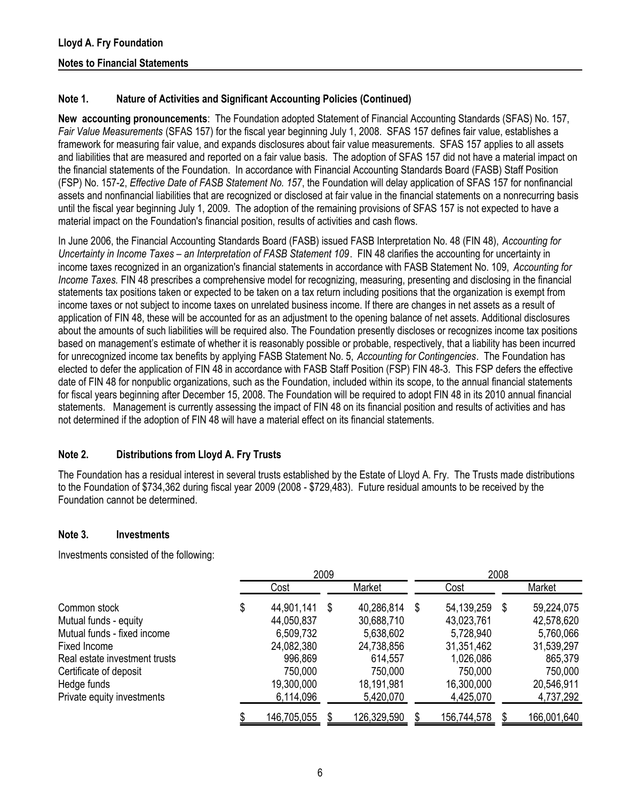# Note 1. Nature of Activities and Significant Accounting Policies (Continued)

New accounting pronouncements: The Foundation adopted Statement of Financial Accounting Standards (SFAS) No. 157, Fair Value Measurements (SFAS 157) for the fiscal year beginning July 1, 2008. SFAS 157 defines fair value, establishes a framework for measuring fair value, and expands disclosures about fair value measurements. SFAS 157 applies to all assets and liabilities that are measured and reported on a fair value basis. The adoption of SFAS 157 did not have a material impact on the financial statements of the Foundation. In accordance with Financial Accounting Standards Board (FASB) Staff Position (FSP) No. 157-2, Effective Date of FASB Statement No. 157, the Foundation will delay application of SFAS 157 for nonfinancial assets and nonfinancial liabilities that are recognized or disclosed at fair value in the financial statements on a nonrecurring basis until the fiscal year beginning July 1, 2009. The adoption of the remaining provisions of SFAS 157 is not expected to have a material impact on the Foundation's financial position, results of activities and cash flows.

In June 2006, the Financial Accounting Standards Board (FASB) issued FASB Interpretation No. 48 (FIN 48), Accounting for Uncertainty in Income Taxes – an Interpretation of FASB Statement 109. FIN 48 clarifies the accounting for uncertainty in income taxes recognized in an organization's financial statements in accordance with FASB Statement No. 109, Accounting for Income Taxes. FIN 48 prescribes a comprehensive model for recognizing, measuring, presenting and disclosing in the financial statements tax positions taken or expected to be taken on a tax return including positions that the organization is exempt from income taxes or not subject to income taxes on unrelated business income. If there are changes in net assets as a result of application of FIN 48, these will be accounted for as an adjustment to the opening balance of net assets. Additional disclosures about the amounts of such liabilities will be required also. The Foundation presently discloses or recognizes income tax positions based on management's estimate of whether it is reasonably possible or probable, respectively, that a liability has been incurred for unrecognized income tax benefits by applying FASB Statement No. 5, Accounting for Contingencies. The Foundation has elected to defer the application of FIN 48 in accordance with FASB Staff Position (FSP) FIN 48-3. This FSP defers the effective date of FIN 48 for nonpublic organizations, such as the Foundation, included within its scope, to the annual financial statements for fiscal years beginning after December 15, 2008. The Foundation will be required to adopt FIN 48 in its 2010 annual financial statements. Management is currently assessing the impact of FIN 48 on its financial position and results of activities and has not determined if the adoption of FIN 48 will have a material effect on its financial statements.

# Note 2. Distributions from Lloyd A. Fry Trusts

The Foundation has a residual interest in several trusts established by the Estate of Lloyd A. Fry. The Trusts made distributions to the Foundation of \$734,362 during fiscal year 2009 (2008 - \$729,483). Future residual amounts to be received by the Foundation cannot be determined.

## Note 3. Investments

Investments consisted of the following:

|                               | 2009             |   |             |                    | 2008 |             |
|-------------------------------|------------------|---|-------------|--------------------|------|-------------|
|                               | Cost             |   | Market      | Cost               |      | Market      |
| Common stock                  | \$<br>44,901,141 | S | 40,286,814  | \$<br>54, 139, 259 | \$   | 59,224,075  |
| Mutual funds - equity         | 44,050,837       |   | 30,688,710  | 43,023,761         |      | 42,578,620  |
| Mutual funds - fixed income   | 6,509,732        |   | 5,638,602   | 5,728,940          |      | 5,760,066   |
| Fixed Income                  | 24,082,380       |   | 24,738,856  | 31,351,462         |      | 31,539,297  |
| Real estate investment trusts | 996,869          |   | 614,557     | 1,026,086          |      | 865,379     |
| Certificate of deposit        | 750,000          |   | 750,000     | 750,000            |      | 750,000     |
| Hedge funds                   | 19,300,000       |   | 18,191,981  | 16,300,000         |      | 20,546,911  |
| Private equity investments    | 6,114,096        |   | 5,420,070   | 4,425,070          |      | 4,737,292   |
|                               | 146,705,055      |   | 126,329,590 | 156,744,578        |      | 166,001,640 |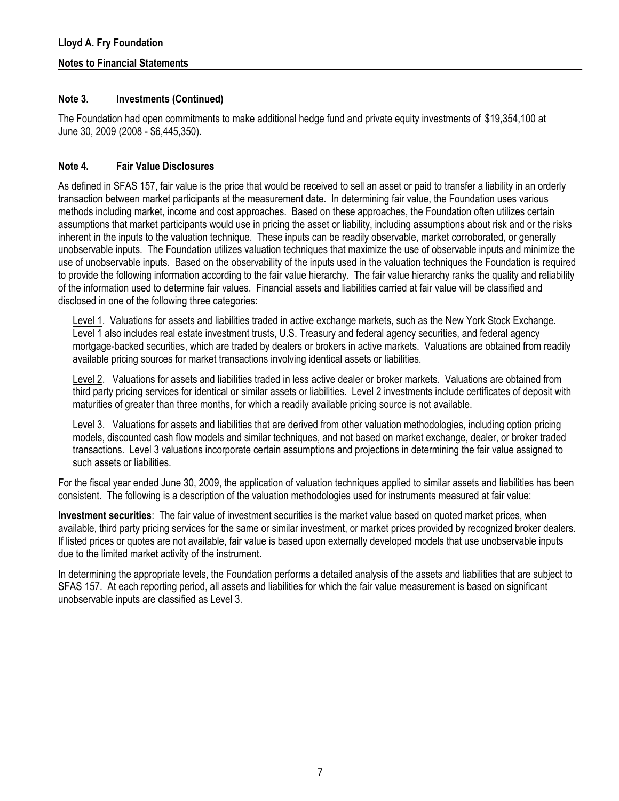# Lloyd A. Fry Foundation Notes to Financial Statements

### Note 3. Investments (Continued)

The Foundation had open commitments to make additional hedge fund and private equity investments of \$19,354,100 at June 30, 2009 (2008 - \$6,445,350).

#### Note 4. Fair Value Disclosures

As defined in SFAS 157, fair value is the price that would be received to sell an asset or paid to transfer a liability in an orderly transaction between market participants at the measurement date. In determining fair value, the Foundation uses various methods including market, income and cost approaches. Based on these approaches, the Foundation often utilizes certain assumptions that market participants would use in pricing the asset or liability, including assumptions about risk and or the risks inherent in the inputs to the valuation technique. These inputs can be readily observable, market corroborated, or generally unobservable inputs. The Foundation utilizes valuation techniques that maximize the use of observable inputs and minimize the use of unobservable inputs. Based on the observability of the inputs used in the valuation techniques the Foundation is required to provide the following information according to the fair value hierarchy. The fair value hierarchy ranks the quality and reliability of the information used to determine fair values. Financial assets and liabilities carried at fair value will be classified and disclosed in one of the following three categories:

Level 1. Valuations for assets and liabilities traded in active exchange markets, such as the New York Stock Exchange. Level 1 also includes real estate investment trusts, U.S. Treasury and federal agency securities, and federal agency mortgage-backed securities, which are traded by dealers or brokers in active markets. Valuations are obtained from readily available pricing sources for market transactions involving identical assets or liabilities.

Level 2. Valuations for assets and liabilities traded in less active dealer or broker markets. Valuations are obtained from third party pricing services for identical or similar assets or liabilities. Level 2 investments include certificates of deposit with maturities of greater than three months, for which a readily available pricing source is not available.

Level 3. Valuations for assets and liabilities that are derived from other valuation methodologies, including option pricing models, discounted cash flow models and similar techniques, and not based on market exchange, dealer, or broker traded transactions. Level 3 valuations incorporate certain assumptions and projections in determining the fair value assigned to such assets or liabilities.

For the fiscal year ended June 30, 2009, the application of valuation techniques applied to similar assets and liabilities has been consistent. The following is a description of the valuation methodologies used for instruments measured at fair value:

Investment securities: The fair value of investment securities is the market value based on quoted market prices, when available, third party pricing services for the same or similar investment, or market prices provided by recognized broker dealers. If listed prices or quotes are not available, fair value is based upon externally developed models that use unobservable inputs due to the limited market activity of the instrument.

In determining the appropriate levels, the Foundation performs a detailed analysis of the assets and liabilities that are subject to SFAS 157. At each reporting period, all assets and liabilities for which the fair value measurement is based on significant unobservable inputs are classified as Level 3.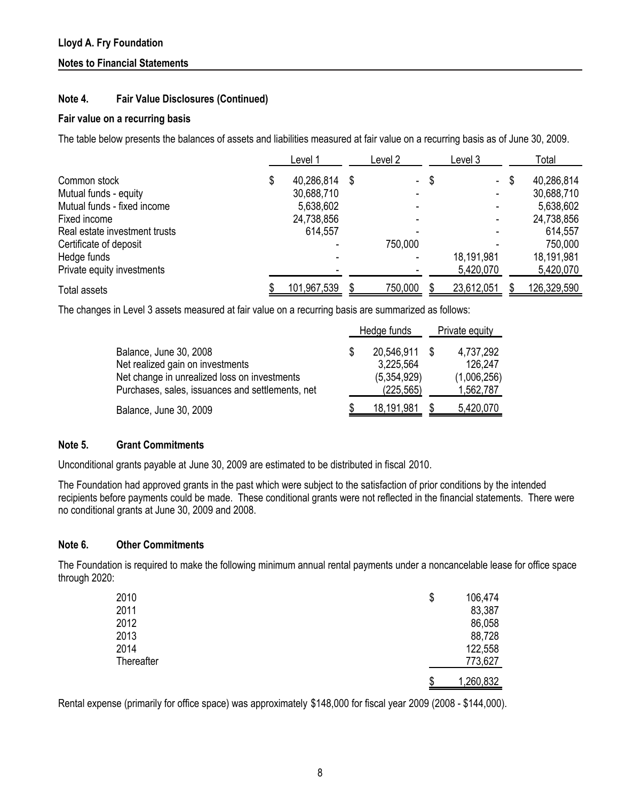# Lloyd A. Fry Foundation Notes to Financial Statements

### Note 4. Fair Value Disclosures (Continued)

#### Fair value on a recurring basis

The table below presents the balances of assets and liabilities measured at fair value on a recurring basis as of June 30, 2009.

|                               | Level 1          |      | Level 2 |      | Level 3    |      | Total       |
|-------------------------------|------------------|------|---------|------|------------|------|-------------|
| Common stock                  | \$<br>40,286,814 | - \$ |         | - \$ | $\sim$     | - \$ | 40,286,814  |
| Mutual funds - equity         | 30,688,710       |      |         |      | ۰          |      | 30,688,710  |
| Mutual funds - fixed income   | 5,638,602        |      |         |      |            |      | 5,638,602   |
| Fixed income                  | 24,738,856       |      |         |      |            |      | 24,738,856  |
| Real estate investment trusts | 614,557          |      |         |      |            |      | 614,557     |
| Certificate of deposit        |                  |      | 750,000 |      |            |      | 750,000     |
| Hedge funds                   |                  |      |         |      | 18,191,981 |      | 18,191,981  |
| Private equity investments    |                  |      |         |      | 5,420,070  |      | 5,420,070   |
| <b>Total assets</b>           | 101,967,539      |      | 750,000 |      | 23,612,051 |      | 126,329,590 |

The changes in Level 3 assets measured at fair value on a recurring basis are summarized as follows:

|                                                                                                                                                                | Hedge funds |                                                      |  | Private equity                                   |  |  |
|----------------------------------------------------------------------------------------------------------------------------------------------------------------|-------------|------------------------------------------------------|--|--------------------------------------------------|--|--|
| Balance, June 30, 2008<br>Net realized gain on investments<br>Net change in unrealized loss on investments<br>Purchases, sales, issuances and settlements, net |             | 20,546,911<br>3,225,564<br>(5,354,929)<br>(225, 565) |  | 4,737,292<br>126,247<br>(1,006,256)<br>1,562,787 |  |  |
| Balance, June 30, 2009                                                                                                                                         |             | 18,191,981                                           |  | 5,420,070                                        |  |  |

#### Note 5. Grant Commitments

Unconditional grants payable at June 30, 2009 are estimated to be distributed in fiscal 2010.

The Foundation had approved grants in the past which were subject to the satisfaction of prior conditions by the intended recipients before payments could be made. These conditional grants were not reflected in the financial statements. There were no conditional grants at June 30, 2009 and 2008.

#### Note 6. Other Commitments

The Foundation is required to make the following minimum annual rental payments under a noncancelable lease for office space through 2020:

| 2010       | 106,474<br>\$ |
|------------|---------------|
| 2011       | 83,387        |
| 2012       | 86,058        |
| 2013       | 88,728        |
| 2014       | 122,558       |
| Thereafter | 773,627       |
|            | 1,260,832     |

Rental expense (primarily for office space) was approximately \$148,000 for fiscal year 2009 (2008 - \$144,000).